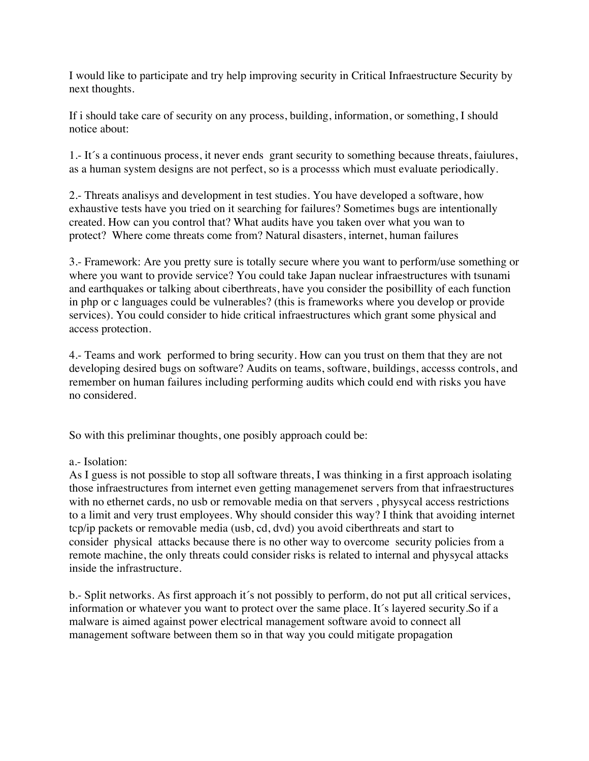I would like to participate and try help improving security in Critical Infraestructure Security by next thoughts.

If i should take care of security on any process, building, information, or something, I should notice about:

 1.- It´s a continuous process, it never ends grant security to something because threats, faiulures, as a human system designs are not perfect, so is a processs which must evaluate periodically.

 protect? Where come threats come from? Natural disasters, internet, human failures 2.- Threats analisys and development in test studies. You have developed a software, how exhaustive tests have you tried on it searching for failures? Sometimes bugs are intentionally created. How can you control that? What audits have you taken over what you wan to

3.- Framework: Are you pretty sure is totally secure where you want to perform/use something or where you want to provide service? You could take Japan nuclear infraestructures with tsunami and earthquakes or talking about ciberthreats, have you consider the posibillity of each function in php or c languages could be vulnerables? (this is frameworks where you develop or provide services). You could consider to hide critical infraestructures which grant some physical and access protection.

4.- Teams and work performed to bring security. How can you trust on them that they are not developing desired bugs on software? Audits on teams, software, buildings, accesss controls, and remember on human failures including performing audits which could end with risks you have no considered.

So with this preliminar thoughts, one posibly approach could be:

## a.- Isolation:

 consider physical attacks because there is no other way to overcome security policies from a As I guess is not possible to stop all software threats, I was thinking in a first approach isolating those infraestructures from internet even getting managemenet servers from that infraestructures with no ethernet cards, no usb or removable media on that servers , physycal access restrictions to a limit and very trust employees. Why should consider this way? I think that avoiding internet tcp/ip packets or removable media (usb, cd, dvd) you avoid ciberthreats and start to remote machine, the only threats could consider risks is related to internal and physycal attacks inside the infrastructure.

 management software between them so in that way you could mitigate propagation b.- Split networks. As first approach it´s not possibly to perform, do not put all critical services, information or whatever you want to protect over the same place. It´s layered security.So if a malware is aimed against power electrical management software avoid to connect all